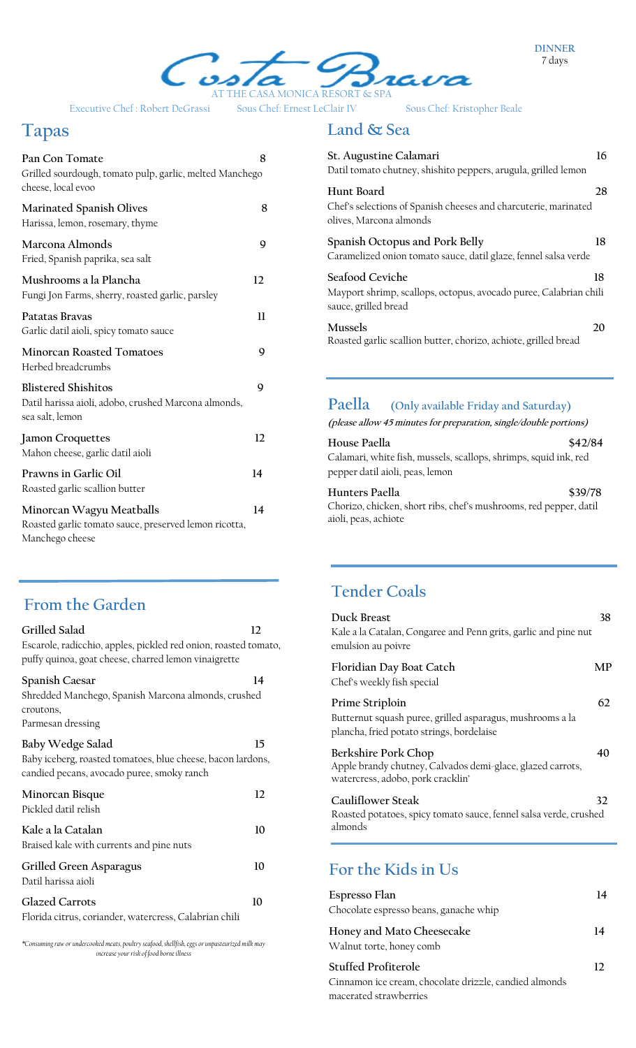**DINNER** 7 days



Executive Chef : Robert DeGrassi Sous Chef: Ernest LeClair IV Sous Chef: Kristopher Beale

## **Tapas**

| Pan Con Tomate<br>Grilled sourdough, tomato pulp, garlic, melted Manchego<br>cheese, local evoo       | 8  |
|-------------------------------------------------------------------------------------------------------|----|
| Marinated Spanish Olives<br>Harissa, lemon, rosemary, thyme                                           | 8  |
| Marcona Almonds<br>Fried, Spanish paprika, sea salt                                                   | 9  |
| Mushrooms a la Plancha<br>Fungi Jon Farms, sherry, roasted garlic, parsley                            | 12 |
| Patatas Brayas<br>Garlic datil aioli, spicy tomato sauce                                              | 11 |
| <b>Minorcan Roasted Tomatoes</b><br>Herbed breadcrumbs                                                | 9  |
| <b>Blistered Shishitos</b><br>Datil harissa aioli, adobo, crushed Marcona almonds,<br>sea salt, lemon | 9  |
| <b>Jamon Croquettes</b><br>Mahon cheese, garlic datil aioli                                           | 12 |
| Prawns in Garlic Oil<br>Roasted garlic scallion butter                                                | 14 |
| Minorcan Wagyu Meatballs<br>Roasted garlic tomato sauce, preserved lemon ricotta,<br>Manchego cheese  | 14 |

#### **From the Garden**

| Escarole, radicchio, apples, pickled red onion, roasted tomato,<br>puffy quinoa, goat cheese, charred lemon vinaigrette<br>Spanish Caesar<br>14<br>Shredded Manchego, Spanish Marcona almonds, crushed<br>croutons,<br>Parmesan dressing<br>Baby Wedge Salad<br>15<br>Baby iceberg, roasted tomatoes, blue cheese, bacon lardons,<br>candied pecans, avocado puree, smoky ranch<br>Minorcan Bisque<br>12<br>Pickled datil relish<br>Kale a la Catalan<br>10<br>Braised kale with currents and pine nuts<br>Grilled Green Asparagus<br>10<br>Datil harissa aioli<br><b>Glazed Carrots</b><br>10<br>Florida citrus, coriander, watercress, Calabrian chili | Grilled Salad | 12 |
|----------------------------------------------------------------------------------------------------------------------------------------------------------------------------------------------------------------------------------------------------------------------------------------------------------------------------------------------------------------------------------------------------------------------------------------------------------------------------------------------------------------------------------------------------------------------------------------------------------------------------------------------------------|---------------|----|
|                                                                                                                                                                                                                                                                                                                                                                                                                                                                                                                                                                                                                                                          |               |    |
|                                                                                                                                                                                                                                                                                                                                                                                                                                                                                                                                                                                                                                                          |               |    |
|                                                                                                                                                                                                                                                                                                                                                                                                                                                                                                                                                                                                                                                          |               |    |
|                                                                                                                                                                                                                                                                                                                                                                                                                                                                                                                                                                                                                                                          |               |    |
|                                                                                                                                                                                                                                                                                                                                                                                                                                                                                                                                                                                                                                                          |               |    |
|                                                                                                                                                                                                                                                                                                                                                                                                                                                                                                                                                                                                                                                          |               |    |
|                                                                                                                                                                                                                                                                                                                                                                                                                                                                                                                                                                                                                                                          |               |    |

*\*Consuming raw or undercooked meats, poultry seafood, shellfish, eggs or unpasteurized milk may increase your risk of food borne illness*

#### **Land & Sea**

| St. Augustine Calamari<br>Datil tomato chutney, shishito peppers, arugula, grilled lemon                     | 16 |
|--------------------------------------------------------------------------------------------------------------|----|
| Hunt Board<br>Chef's selections of Spanish cheeses and charcuterie, marinated<br>olives, Marcona almonds     | 28 |
| Spanish Octopus and Pork Belly<br>Caramelized onion tomato sauce, datil glaze, fennel salsa verde            | 18 |
| Seafood Ceviche<br>Mayport shrimp, scallops, octopus, avocado puree, Calabrian chili<br>sauce, grilled bread | 18 |
| Mussels<br>Roasted garlic scallion butter, chorizo, achiote, grilled bread                                   | 20 |

#### **Paella (Only available Friday and Saturday)**

**(please allow 45 minutes for preparation, single/double portions)**

| House Paella                                                     | \$42/84 |
|------------------------------------------------------------------|---------|
| Calamari, white fish, mussels, scallops, shrimps, squid ink, red |         |
| pepper datil aioli, peas, lemon                                  |         |

**Hunters Paella \$39/78** Chorizo, chicken, short ribs, chef's mushrooms, red pepper, datil aioli, peas, achiote

## **Tender Coals**

| Duck Breast<br>Kale a la Catalan, Congaree and Penn grits, garlic and pine nut<br>emulsion au poivre                      | 38 |
|---------------------------------------------------------------------------------------------------------------------------|----|
| Floridian Day Boat Catch<br>Chef's weekly fish special                                                                    | MР |
| Prime Striploin<br>Butternut squash puree, grilled asparagus, mushrooms a la<br>plancha, fried potato strings, bordelaise | 62 |
| Berkshire Pork Chop<br>Apple brandy chutney, Calvados demi-glace, glazed carrots,<br>watercress, adobo, pork cracklin'    | 40 |
| Cauliflower Steak<br>Roasted potatoes, spicy tomato sauce, fennel salsa verde, crushed<br>almonds                         | 32 |

#### **For the Kids in Us**

| Espresso Flan<br>Chocolate espresso beans, ganache whip | 14 |
|---------------------------------------------------------|----|
| Honey and Mato Cheesecake<br>Walnut torte, honey comb   | 14 |
| <b>Stuffed Profiterole</b>                              | 12 |
| Cinnamon ice cream, chocolate drizzle, candied almonds  |    |
| macerated strawberries                                  |    |